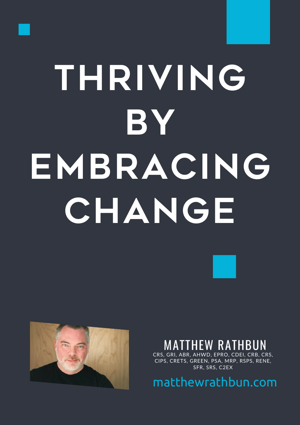

# **THRIVING BY EMBRACING CHANGE**



# **TTHEW RATHBUN**

CRS, GRI, ABR, AHWD, EPRO, CDEI, CRB, CRS, CIPS, CRETS, GREEN, PSA, MRP, RSPS, RENE, SFR, SRS, C2EX

matthewrathbun.com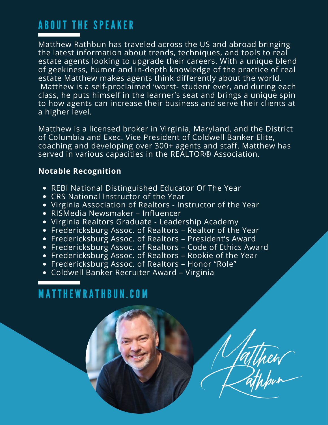# ABOUT THE SPEAKER

Matthew Rathbun has traveled across the US and abroad bringing the latest information about trends, techniques, and tools to real estate agents looking to upgrade their careers. With a unique blend of geekiness, humor and in-depth knowledge of the practice of real estate Matthew makes agents think differently about the world. Matthew is a self-proclaimed 'worst- student ever, and during each class, he puts himself in the learner's seat and brings a unique spin to how agents can increase their business and serve their clients at a higher level.

Matthew is a licensed broker in Virginia, Maryland, and the District of Columbia and Exec. Vice President of Coldwell Banker Elite, coaching and developing over 300+ agents and staff. Matthew has served in various capacities in the REALTOR® Association.

## **Notable Recognition**

- REBI National Distinguished Educator Of The Year
- CRS National Instructor of the Year
- Virginia Association of Realtors Instructor of the Year
- RISMedia Newsmaker Influencer
- Virginia Realtors Graduate Leadership Academy
- Fredericksburg Assoc. of Realtors Realtor of the Year
- Fredericksburg Assoc. of Realtors President's Award
- Fredericksburg Assoc. of Realtors Code of Ethics Award

atthew

- Fredericksburg Assoc. of Realtors Rookie of the Year
- Fredericksburg Assoc. of Realtors Honor "Role"
- Coldwell Banker Recruiter Award Virginia

# M AT THE W RATHBUN.CO M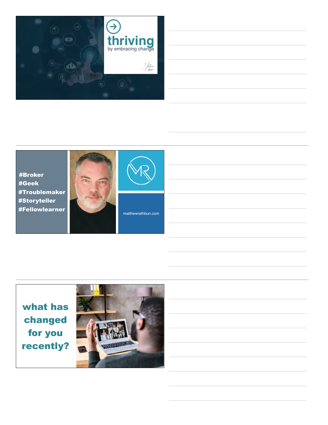







matthewrathbun.com

what has changed for you recently?

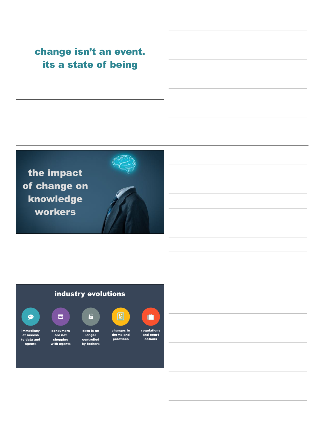## change isn't an event. its a state of being



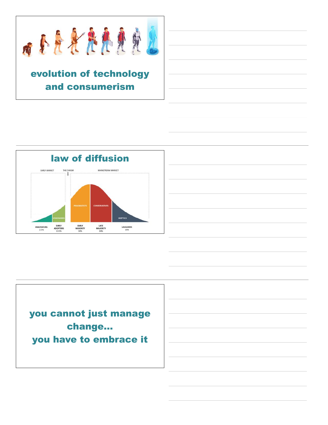

## evolution of technology and consumerism





you cannot just manage change… you have to embrace it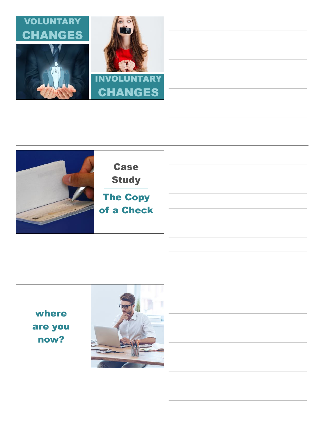



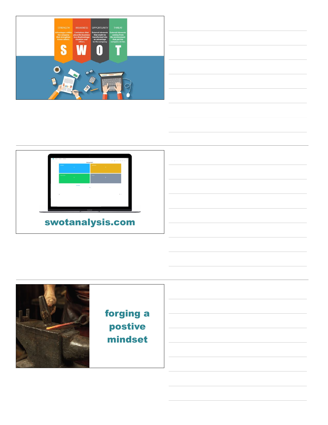





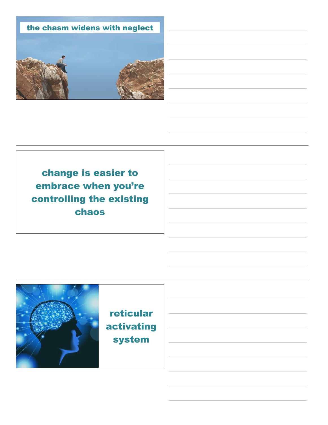

change is easier to embrace when you're controlling the existing chaos

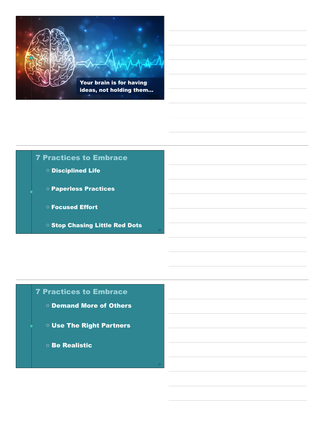

#### 7 Practices to Embrace

- Disciplined Life
- Paperless Practices
- Focused Effort
- Stop Chasing Little Red Dots

#### 7 Practices to Embrace

- Demand More of Others
- Use The Right Partners
- Be Realistic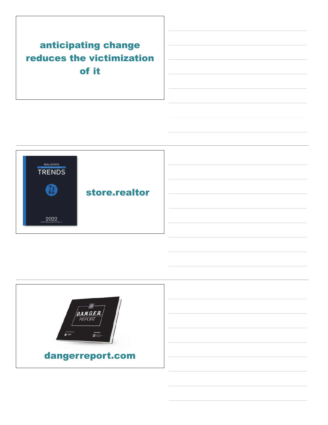## anticipating change reduces the victimization of it



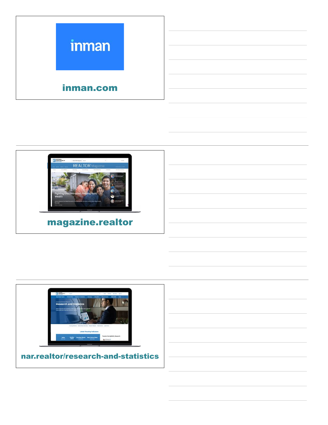



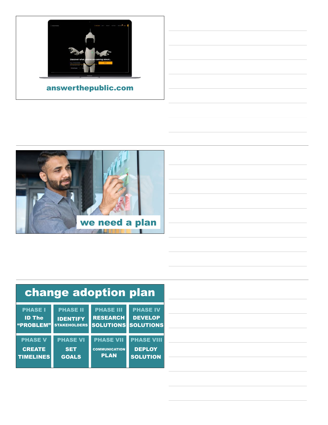

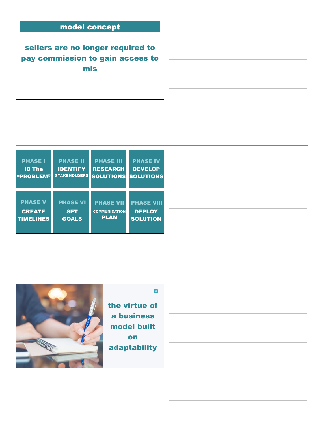### model concept

sellers are no longer required to pay commission to gain access to mls

| <b>PHASE I</b>   | <b>PHASE II</b>     | <b>PHASE III</b>     | <b>PHASE IV</b>   |
|------------------|---------------------|----------------------|-------------------|
| <b>ID The</b>    | <b>IDENTIFY</b>     | <b>RESEARCH</b>      | <b>DEVELOP</b>    |
| "PROBLEM"        | <b>STAKEHOLDERS</b> | <b>SOLUTIONS</b>     | <b>SOLUTIONS</b>  |
| <b>PHASE V</b>   | <b>PHASE VI</b>     | <b>PHASE VII</b>     | <b>PHASE VIII</b> |
| <b>CREATE</b>    | <b>SET</b>          | <b>COMMUNICATION</b> | <b>DEPLOY</b>     |
| <b>TIMELINES</b> | <b>GOALS</b>        | <b>PLAN</b>          | <b>SOLUTION</b>   |

33



the virtue of a business model built on adaptability